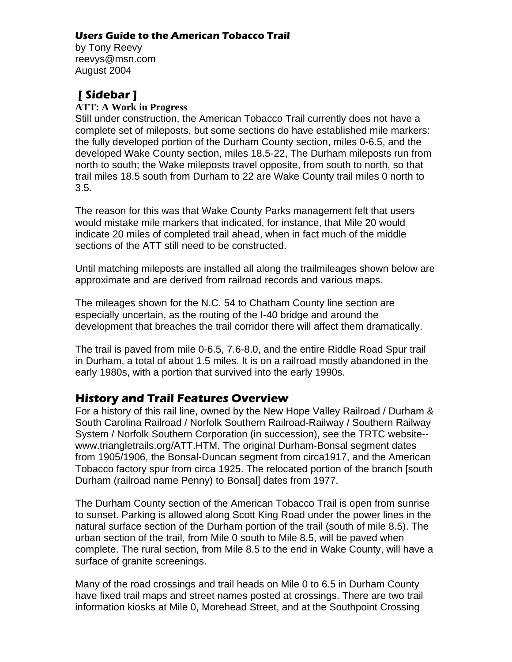#### **Users Guide to the American Tobacco Trail**

by Tony Reevy reevys@msn.com August 2004

# **[ Sidebar ]**

#### **ATT: A Work in Progress**

Still under construction, the American Tobacco Trail currently does not have a complete set of mileposts, but some sections do have established mile markers: the fully developed portion of the Durham County section, miles 0-6.5, and the developed Wake County section, miles 18.5-22, The Durham mileposts run from north to south; the Wake mileposts travel opposite, from south to north, so that trail miles 18.5 south from Durham to 22 are Wake County trail miles 0 north to 3.5.

The reason for this was that Wake County Parks management felt that users would mistake mile markers that indicated, for instance, that Mile 20 would indicate 20 miles of completed trail ahead, when in fact much of the middle sections of the ATT still need to be constructed.

Until matching mileposts are installed all along the trailmileages shown below are approximate and are derived from railroad records and various maps.

The mileages shown for the N.C. 54 to Chatham County line section are especially uncertain, as the routing of the I-40 bridge and around the development that breaches the trail corridor there will affect them dramatically.

The trail is paved from mile 0-6.5, 7.6-8.0, and the entire Riddle Road Spur trail in Durham, a total of about 1.5 miles. It is on a railroad mostly abandoned in the early 1980s, with a portion that survived into the early 1990s.

## **History and Trail Features Overview**

For a history of this rail line, owned by the New Hope Valley Railroad / Durham & South Carolina Railroad / Norfolk Southern Railroad-Railway / Southern Railway System / Norfolk Southern Corporation (in succession), see the TRTC website- www.triangletrails.org/ATT.HTM. The original Durham-Bonsal segment dates from 1905/1906, the Bonsal-Duncan segment from circa1917, and the American Tobacco factory spur from circa 1925. The relocated portion of the branch [south Durham (railroad name Penny) to Bonsal] dates from 1977.

The Durham County section of the American Tobacco Trail is open from sunrise to sunset. Parking is allowed along Scott King Road under the power lines in the natural surface section of the Durham portion of the trail (south of mile 8.5). The urban section of the trail, from Mile 0 south to Mile 8.5, will be paved when complete. The rural section, from Mile 8.5 to the end in Wake County, will have a surface of granite screenings.

Many of the road crossings and trail heads on Mile 0 to 6.5 in Durham County have fixed trail maps and street names posted at crossings. There are two trail information kiosks at Mile 0, Morehead Street, and at the Southpoint Crossing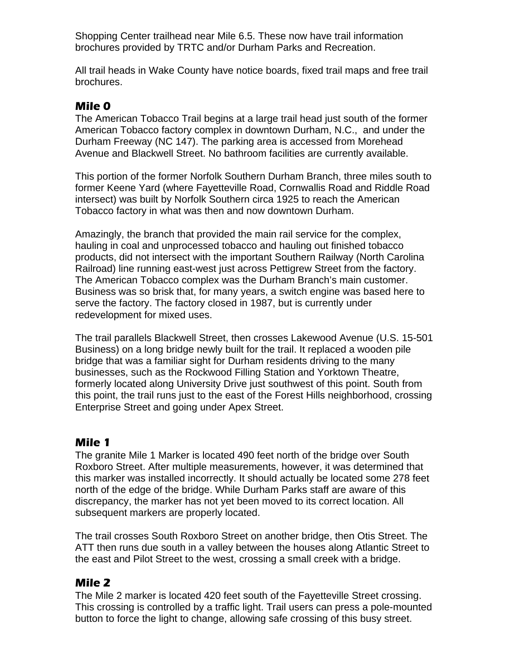Shopping Center trailhead near Mile 6.5. These now have trail information brochures provided by TRTC and/or Durham Parks and Recreation.

All trail heads in Wake County have notice boards, fixed trail maps and free trail brochures.

## **Mile 0**

The American Tobacco Trail begins at a large trail head just south of the former American Tobacco factory complex in downtown Durham, N.C., and under the Durham Freeway (NC 147). The parking area is accessed from Morehead Avenue and Blackwell Street. No bathroom facilities are currently available.

This portion of the former Norfolk Southern Durham Branch, three miles south to former Keene Yard (where Fayetteville Road, Cornwallis Road and Riddle Road intersect) was built by Norfolk Southern circa 1925 to reach the American Tobacco factory in what was then and now downtown Durham.

Amazingly, the branch that provided the main rail service for the complex, hauling in coal and unprocessed tobacco and hauling out finished tobacco products, did not intersect with the important Southern Railway (North Carolina Railroad) line running east-west just across Pettigrew Street from the factory. The American Tobacco complex was the Durham Branch's main customer. Business was so brisk that, for many years, a switch engine was based here to serve the factory. The factory closed in 1987, but is currently under redevelopment for mixed uses.

The trail parallels Blackwell Street, then crosses Lakewood Avenue (U.S. 15-501 Business) on a long bridge newly built for the trail. It replaced a wooden pile bridge that was a familiar sight for Durham residents driving to the many businesses, such as the Rockwood Filling Station and Yorktown Theatre, formerly located along University Drive just southwest of this point. South from this point, the trail runs just to the east of the Forest Hills neighborhood, crossing Enterprise Street and going under Apex Street.

## **Mile 1**

The granite Mile 1 Marker is located 490 feet north of the bridge over South Roxboro Street. After multiple measurements, however, it was determined that this marker was installed incorrectly. It should actually be located some 278 feet north of the edge of the bridge. While Durham Parks staff are aware of this discrepancy, the marker has not yet been moved to its correct location. All subsequent markers are properly located.

The trail crosses South Roxboro Street on another bridge, then Otis Street. The ATT then runs due south in a valley between the houses along Atlantic Street to the east and Pilot Street to the west, crossing a small creek with a bridge.

## **Mile 2**

The Mile 2 marker is located 420 feet south of the Fayetteville Street crossing. This crossing is controlled by a traffic light. Trail users can press a pole-mounted button to force the light to change, allowing safe crossing of this busy street.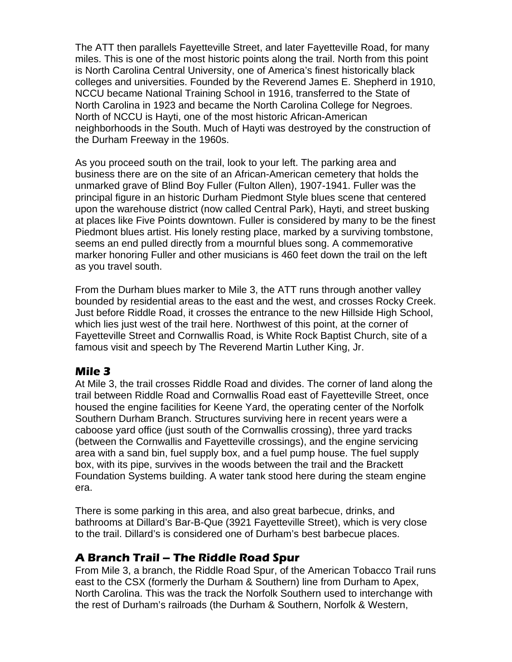The ATT then parallels Fayetteville Street, and later Fayetteville Road, for many miles. This is one of the most historic points along the trail. North from this point is North Carolina Central University, one of America's finest historically black colleges and universities. Founded by the Reverend James E. Shepherd in 1910, NCCU became National Training School in 1916, transferred to the State of North Carolina in 1923 and became the North Carolina College for Negroes. North of NCCU is Hayti, one of the most historic African-American neighborhoods in the South. Much of Hayti was destroyed by the construction of the Durham Freeway in the 1960s.

As you proceed south on the trail, look to your left. The parking area and business there are on the site of an African-American cemetery that holds the unmarked grave of Blind Boy Fuller (Fulton Allen), 1907-1941. Fuller was the principal figure in an historic Durham Piedmont Style blues scene that centered upon the warehouse district (now called Central Park), Hayti, and street busking at places like Five Points downtown. Fuller is considered by many to be the finest Piedmont blues artist. His lonely resting place, marked by a surviving tombstone, seems an end pulled directly from a mournful blues song. A commemorative marker honoring Fuller and other musicians is 460 feet down the trail on the left as you travel south.

From the Durham blues marker to Mile 3, the ATT runs through another valley bounded by residential areas to the east and the west, and crosses Rocky Creek. Just before Riddle Road, it crosses the entrance to the new Hillside High School, which lies just west of the trail here. Northwest of this point, at the corner of Fayetteville Street and Cornwallis Road, is White Rock Baptist Church, site of a famous visit and speech by The Reverend Martin Luther King, Jr.

#### **Mile 3**

At Mile 3, the trail crosses Riddle Road and divides. The corner of land along the trail between Riddle Road and Cornwallis Road east of Fayetteville Street, once housed the engine facilities for Keene Yard, the operating center of the Norfolk Southern Durham Branch. Structures surviving here in recent years were a caboose yard office (just south of the Cornwallis crossing), three yard tracks (between the Cornwallis and Fayetteville crossings), and the engine servicing area with a sand bin, fuel supply box, and a fuel pump house. The fuel supply box, with its pipe, survives in the woods between the trail and the Brackett Foundation Systems building. A water tank stood here during the steam engine era.

There is some parking in this area, and also great barbecue, drinks, and bathrooms at Dillard's Bar-B-Que (3921 Fayetteville Street), which is very close to the trail. Dillard's is considered one of Durham's best barbecue places.

#### **A Branch Trail – The Riddle Road Spur**

From Mile 3, a branch, the Riddle Road Spur, of the American Tobacco Trail runs east to the CSX (formerly the Durham & Southern) line from Durham to Apex, North Carolina. This was the track the Norfolk Southern used to interchange with the rest of Durham's railroads (the Durham & Southern, Norfolk & Western,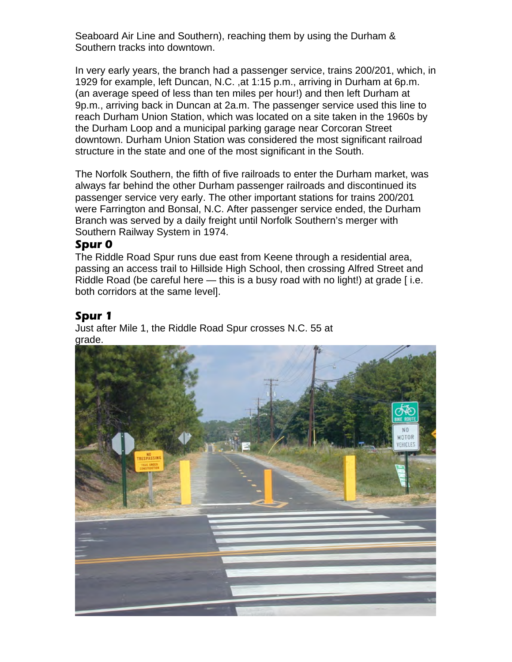Seaboard Air Line and Southern), reaching them by using the Durham & Southern tracks into downtown.

In very early years, the branch had a passenger service, trains 200/201, which, in 1929 for example, left Duncan, N.C. ,at 1:15 p.m., arriving in Durham at 6p.m. (an average speed of less than ten miles per hour!) and then left Durham at 9p.m., arriving back in Duncan at 2a.m. The passenger service used this line to reach Durham Union Station, which was located on a site taken in the 1960s by the Durham Loop and a municipal parking garage near Corcoran Street downtown. Durham Union Station was considered the most significant railroad structure in the state and one of the most significant in the South.

The Norfolk Southern, the fifth of five railroads to enter the Durham market, was always far behind the other Durham passenger railroads and discontinued its passenger service very early. The other important stations for trains 200/201 were Farrington and Bonsal, N.C. After passenger service ended, the Durham Branch was served by a daily freight until Norfolk Southern's merger with Southern Railway System in 1974.

#### **Spur 0**

The Riddle Road Spur runs due east from Keene through a residential area, passing an access trail to Hillside High School, then crossing Alfred Street and Riddle Road (be careful here  $-$  this is a busy road with no light!) at grade [i.e. both corridors at the same level].

## **Spur 1**

Just after Mile 1, the Riddle Road Spur crosses N.C. 55 at grade.

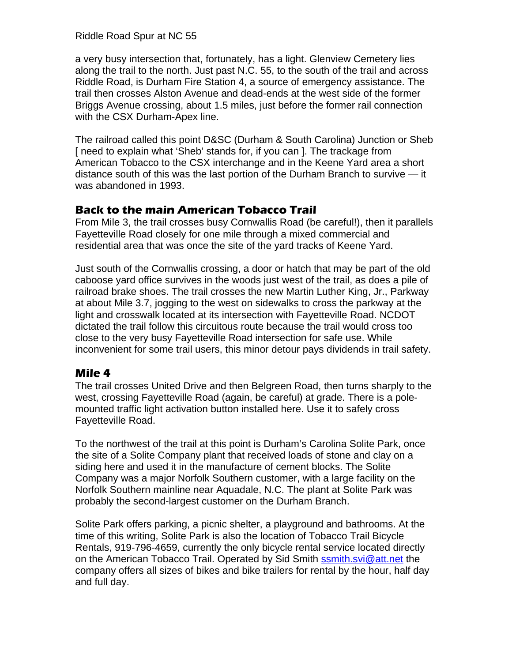#### Riddle Road Spur at NC 55

a very busy intersection that, fortunately, has a light. Glenview Cemetery lies along the trail to the north. Just past N.C. 55, to the south of the trail and across Riddle Road, is Durham Fire Station 4, a source of emergency assistance. The trail then crosses Alston Avenue and dead-ends at the west side of the former Briggs Avenue crossing, about 1.5 miles, just before the former rail connection with the CSX Durham-Apex line.

The railroad called this point D&SC (Durham & South Carolina) Junction or Sheb [ need to explain what 'Sheb' stands for, if you can ]. The trackage from American Tobacco to the CSX interchange and in the Keene Yard area a short distance south of this was the last portion of the Durham Branch to survive — it was abandoned in 1993.

## **Back to the main American Tobacco Trail**

From Mile 3, the trail crosses busy Cornwallis Road (be careful!), then it parallels Fayetteville Road closely for one mile through a mixed commercial and residential area that was once the site of the yard tracks of Keene Yard.

Just south of the Cornwallis crossing, a door or hatch that may be part of the old caboose yard office survives in the woods just west of the trail, as does a pile of railroad brake shoes. The trail crosses the new Martin Luther King, Jr., Parkway at about Mile 3.7, jogging to the west on sidewalks to cross the parkway at the light and crosswalk located at its intersection with Fayetteville Road. NCDOT dictated the trail follow this circuitous route because the trail would cross too close to the very busy Fayetteville Road intersection for safe use. While inconvenient for some trail users, this minor detour pays dividends in trail safety.

## **Mile 4**

The trail crosses United Drive and then Belgreen Road, then turns sharply to the west, crossing Fayetteville Road (again, be careful) at grade. There is a polemounted traffic light activation button installed here. Use it to safely cross Fayetteville Road.

To the northwest of the trail at this point is Durham's Carolina Solite Park, once the site of a Solite Company plant that received loads of stone and clay on a siding here and used it in the manufacture of cement blocks. The Solite Company was a major Norfolk Southern customer, with a large facility on the Norfolk Southern mainline near Aquadale, N.C. The plant at Solite Park was probably the second-largest customer on the Durham Branch.

Solite Park offers parking, a picnic shelter, a playground and bathrooms. At the time of this writing, Solite Park is also the location of Tobacco Trail Bicycle Rentals, 919-796-4659, currently the only bicycle rental service located directly on the American Tobacco Trail. Operated by Sid Smith **ssmith.svi@att.net** the company offers all sizes of bikes and bike trailers for rental by the hour, half day and full day.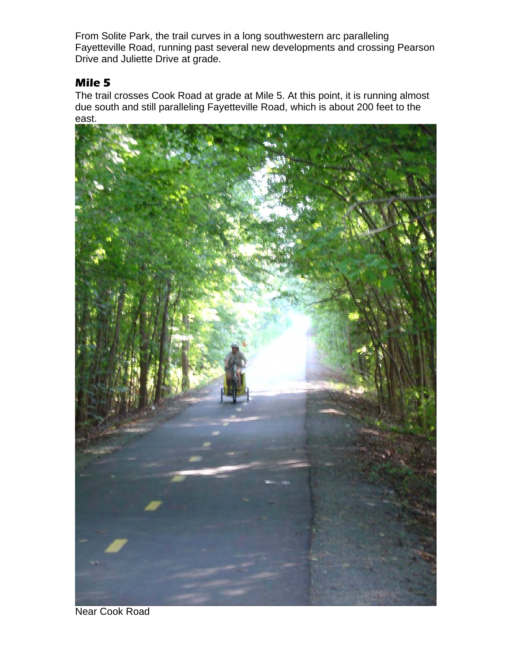From Solite Park, the trail curves in a long southwestern arc paralleling Fayetteville Road, running past several new developments and crossing Pearson Drive and Juliette Drive at grade.

## **Mile 5**

The trail crosses Cook Road at grade at Mile 5. At this point, it is running almost due south and still paralleling Fayetteville Road, which is about 200 feet to the east.



Near Cook Road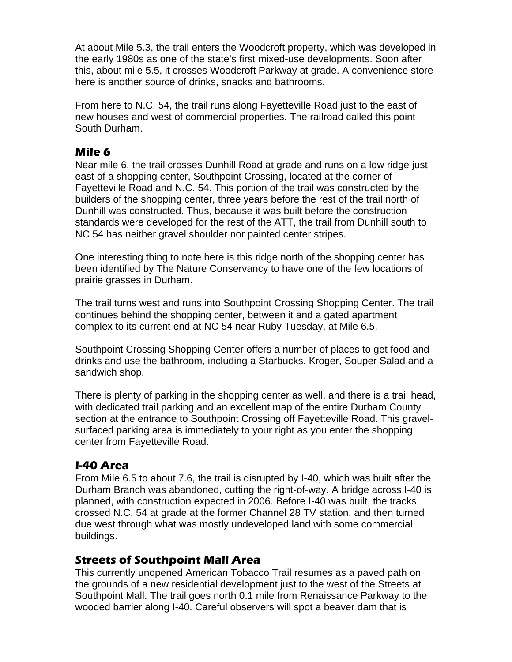At about Mile 5.3, the trail enters the Woodcroft property, which was developed in the early 1980s as one of the state's first mixed-use developments. Soon after this, about mile 5.5, it crosses Woodcroft Parkway at grade. A convenience store here is another source of drinks, snacks and bathrooms.

From here to N.C. 54, the trail runs along Fayetteville Road just to the east of new houses and west of commercial properties. The railroad called this point South Durham.

## **Mile 6**

Near mile 6, the trail crosses Dunhill Road at grade and runs on a low ridge just east of a shopping center, Southpoint Crossing, located at the corner of Fayetteville Road and N.C. 54. This portion of the trail was constructed by the builders of the shopping center, three years before the rest of the trail north of Dunhill was constructed. Thus, because it was built before the construction standards were developed for the rest of the ATT, the trail from Dunhill south to NC 54 has neither gravel shoulder nor painted center stripes.

One interesting thing to note here is this ridge north of the shopping center has been identified by The Nature Conservancy to have one of the few locations of prairie grasses in Durham.

The trail turns west and runs into Southpoint Crossing Shopping Center. The trail continues behind the shopping center, between it and a gated apartment complex to its current end at NC 54 near Ruby Tuesday, at Mile 6.5.

Southpoint Crossing Shopping Center offers a number of places to get food and drinks and use the bathroom, including a Starbucks, Kroger, Souper Salad and a sandwich shop.

There is plenty of parking in the shopping center as well, and there is a trail head, with dedicated trail parking and an excellent map of the entire Durham County section at the entrance to Southpoint Crossing off Fayetteville Road. This gravelsurfaced parking area is immediately to your right as you enter the shopping center from Fayetteville Road.

## **I-40 Area**

From Mile 6.5 to about 7.6, the trail is disrupted by I-40, which was built after the Durham Branch was abandoned, cutting the right-of-way. A bridge across I-40 is planned, with construction expected in 2006. Before I-40 was built, the tracks crossed N.C. 54 at grade at the former Channel 28 TV station, and then turned due west through what was mostly undeveloped land with some commercial buildings.

## **Streets of Southpoint Mall Area**

This currently unopened American Tobacco Trail resumes as a paved path on the grounds of a new residential development just to the west of the Streets at Southpoint Mall. The trail goes north 0.1 mile from Renaissance Parkway to the wooded barrier along I-40. Careful observers will spot a beaver dam that is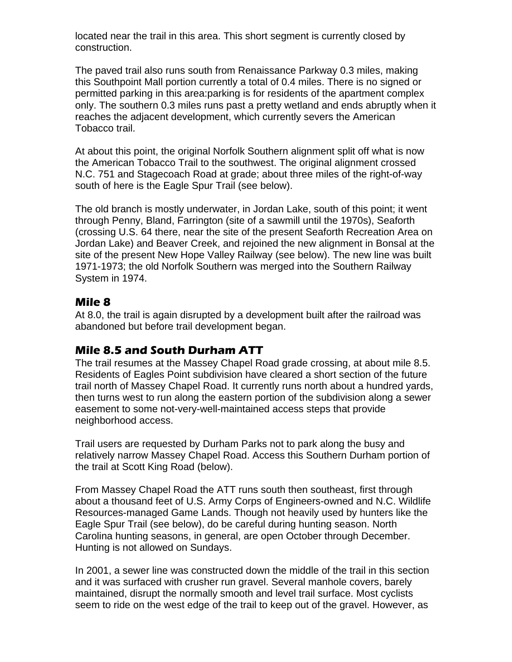located near the trail in this area. This short segment is currently closed by construction.

The paved trail also runs south from Renaissance Parkway 0.3 miles, making this Southpoint Mall portion currently a total of 0.4 miles. There is no signed or permitted parking in this area:parking is for residents of the apartment complex only. The southern 0.3 miles runs past a pretty wetland and ends abruptly when it reaches the adjacent development, which currently severs the American Tobacco trail.

At about this point, the original Norfolk Southern alignment split off what is now the American Tobacco Trail to the southwest. The original alignment crossed N.C. 751 and Stagecoach Road at grade; about three miles of the right-of-way south of here is the Eagle Spur Trail (see below).

The old branch is mostly underwater, in Jordan Lake, south of this point; it went through Penny, Bland, Farrington (site of a sawmill until the 1970s), Seaforth (crossing U.S. 64 there, near the site of the present Seaforth Recreation Area on Jordan Lake) and Beaver Creek, and rejoined the new alignment in Bonsal at the site of the present New Hope Valley Railway (see below). The new line was built 1971-1973; the old Norfolk Southern was merged into the Southern Railway System in 1974.

### **Mile 8**

At 8.0, the trail is again disrupted by a development built after the railroad was abandoned but before trail development began.

## **Mile 8.5 and South Durham ATT**

The trail resumes at the Massey Chapel Road grade crossing, at about mile 8.5. Residents of Eagles Point subdivision have cleared a short section of the future trail north of Massey Chapel Road. It currently runs north about a hundred yards, then turns west to run along the eastern portion of the subdivision along a sewer easement to some not-very-well-maintained access steps that provide neighborhood access.

Trail users are requested by Durham Parks not to park along the busy and relatively narrow Massey Chapel Road. Access this Southern Durham portion of the trail at Scott King Road (below).

From Massey Chapel Road the ATT runs south then southeast, first through about a thousand feet of U.S. Army Corps of Engineers-owned and N.C. Wildlife Resources-managed Game Lands. Though not heavily used by hunters like the Eagle Spur Trail (see below), do be careful during hunting season. North Carolina hunting seasons, in general, are open October through December. Hunting is not allowed on Sundays.

In 2001, a sewer line was constructed down the middle of the trail in this section and it was surfaced with crusher run gravel. Several manhole covers, barely maintained, disrupt the normally smooth and level trail surface. Most cyclists seem to ride on the west edge of the trail to keep out of the gravel. However, as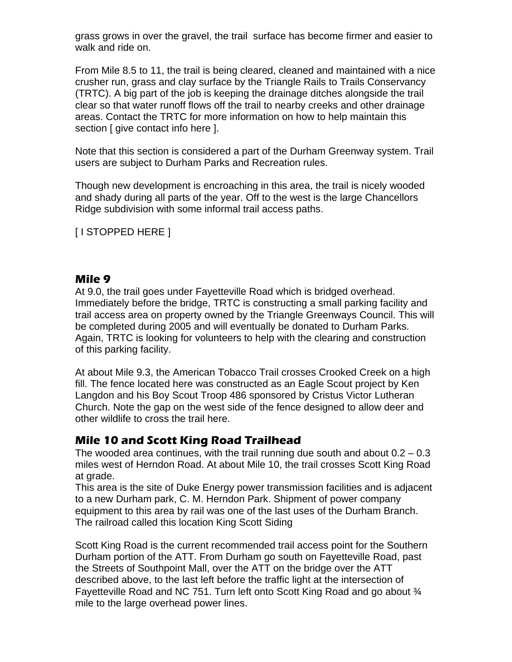grass grows in over the gravel, the trail surface has become firmer and easier to walk and ride on.

From Mile 8.5 to 11, the trail is being cleared, cleaned and maintained with a nice crusher run, grass and clay surface by the Triangle Rails to Trails Conservancy (TRTC). A big part of the job is keeping the drainage ditches alongside the trail clear so that water runoff flows off the trail to nearby creeks and other drainage areas. Contact the TRTC for more information on how to help maintain this section [ give contact info here ].

Note that this section is considered a part of the Durham Greenway system. Trail users are subject to Durham Parks and Recreation rules.

Though new development is encroaching in this area, the trail is nicely wooded and shady during all parts of the year. Off to the west is the large Chancellors Ridge subdivision with some informal trail access paths.

[ I STOPPED HERE ]

#### **Mile 9**

At 9.0, the trail goes under Fayetteville Road which is bridged overhead. Immediately before the bridge, TRTC is constructing a small parking facility and trail access area on property owned by the Triangle Greenways Council. This will be completed during 2005 and will eventually be donated to Durham Parks. Again, TRTC is looking for volunteers to help with the clearing and construction of this parking facility.

At about Mile 9.3, the American Tobacco Trail crosses Crooked Creek on a high fill. The fence located here was constructed as an Eagle Scout project by Ken Langdon and his Boy Scout Troop 486 sponsored by Cristus Victor Lutheran Church. Note the gap on the west side of the fence designed to allow deer and other wildlife to cross the trail here.

#### **Mile 10 and Scott King Road Trailhead**

The wooded area continues, with the trail running due south and about  $0.2 - 0.3$ miles west of Herndon Road. At about Mile 10, the trail crosses Scott King Road at grade.

This area is the site of Duke Energy power transmission facilities and is adjacent to a new Durham park, C. M. Herndon Park. Shipment of power company equipment to this area by rail was one of the last uses of the Durham Branch. The railroad called this location King Scott Siding

Scott King Road is the current recommended trail access point for the Southern Durham portion of the ATT. From Durham go south on Fayetteville Road, past the Streets of Southpoint Mall, over the ATT on the bridge over the ATT described above, to the last left before the traffic light at the intersection of Fayetteville Road and NC 751. Turn left onto Scott King Road and go about 3/4 mile to the large overhead power lines.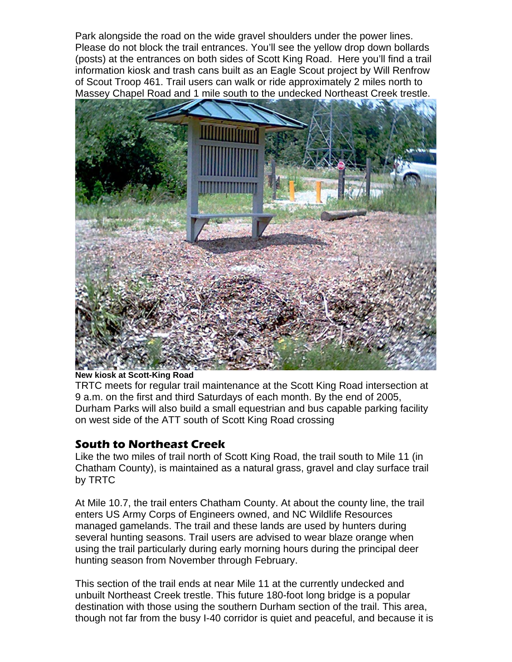Park alongside the road on the wide gravel shoulders under the power lines. Please do not block the trail entrances. You'll see the yellow drop down bollards (posts) at the entrances on both sides of Scott King Road. Here you'll find a trail information kiosk and trash cans built as an Eagle Scout project by Will Renfrow of Scout Troop 461. Trail users can walk or ride approximately 2 miles north to Massey Chapel Road and 1 mile south to the undecked Northeast Creek trestle.



#### **New kiosk at Scott-King Road**

TRTC meets for regular trail maintenance at the Scott King Road intersection at 9 a.m. on the first and third Saturdays of each month. By the end of 2005, Durham Parks will also build a small equestrian and bus capable parking facility on west side of the ATT south of Scott King Road crossing

#### **South to Northeast Creek**

Like the two miles of trail north of Scott King Road, the trail south to Mile 11 (in Chatham County), is maintained as a natural grass, gravel and clay surface trail by TRTC

At Mile 10.7, the trail enters Chatham County. At about the county line, the trail enters US Army Corps of Engineers owned, and NC Wildlife Resources managed gamelands. The trail and these lands are used by hunters during several hunting seasons. Trail users are advised to wear blaze orange when using the trail particularly during early morning hours during the principal deer hunting season from November through February.

This section of the trail ends at near Mile 11 at the currently undecked and unbuilt Northeast Creek trestle. This future 180-foot long bridge is a popular destination with those using the southern Durham section of the trail. This area, though not far from the busy I-40 corridor is quiet and peaceful, and because it is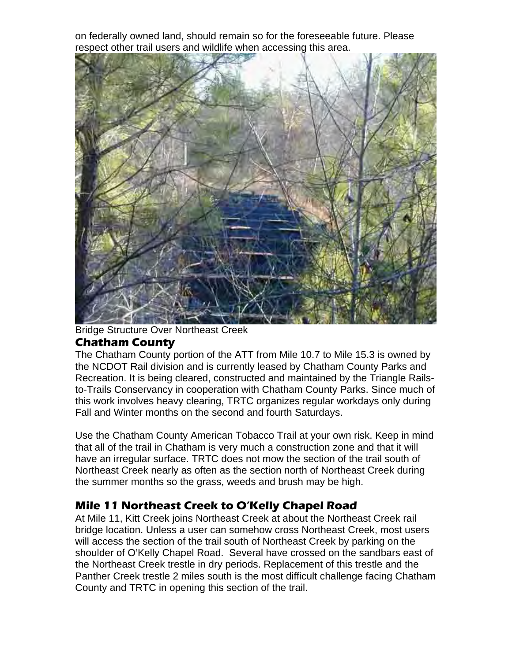on federally owned land, should remain so for the foreseeable future. Please respect other trail users and wildlife when accessing this area.



Bridge Structure Over Northeast Creek

## **Chatham County**

The Chatham County portion of the ATT from Mile 10.7 to Mile 15.3 is owned by the NCDOT Rail division and is currently leased by Chatham County Parks and Recreation. It is being cleared, constructed and maintained by the Triangle Railsto-Trails Conservancy in cooperation with Chatham County Parks. Since much of this work involves heavy clearing, TRTC organizes regular workdays only during Fall and Winter months on the second and fourth Saturdays.

Use the Chatham County American Tobacco Trail at your own risk. Keep in mind that all of the trail in Chatham is very much a construction zone and that it will have an irregular surface. TRTC does not mow the section of the trail south of Northeast Creek nearly as often as the section north of Northeast Creek during the summer months so the grass, weeds and brush may be high.

## **Mile 11 Northeast Creek to O'Kelly Chapel Road**

At Mile 11, Kitt Creek joins Northeast Creek at about the Northeast Creek rail bridge location. Unless a user can somehow cross Northeast Creek, most users will access the section of the trail south of Northeast Creek by parking on the shoulder of O'Kelly Chapel Road. Several have crossed on the sandbars east of the Northeast Creek trestle in dry periods. Replacement of this trestle and the Panther Creek trestle 2 miles south is the most difficult challenge facing Chatham County and TRTC in opening this section of the trail.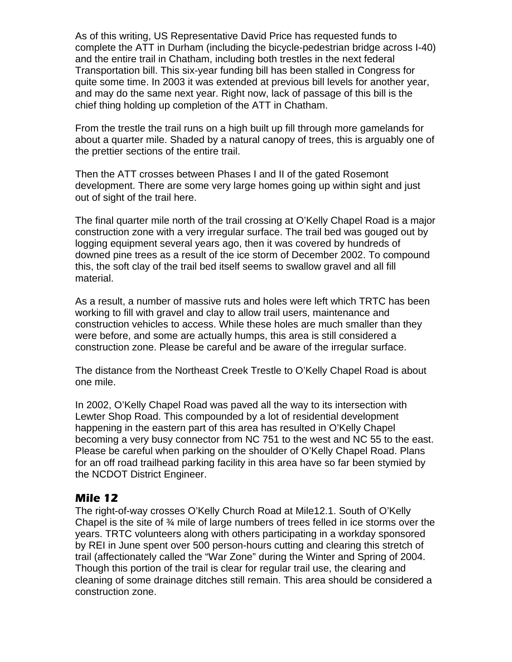As of this writing, US Representative David Price has requested funds to complete the ATT in Durham (including the bicycle-pedestrian bridge across I-40) and the entire trail in Chatham, including both trestles in the next federal Transportation bill. This six-year funding bill has been stalled in Congress for quite some time. In 2003 it was extended at previous bill levels for another year, and may do the same next year. Right now, lack of passage of this bill is the chief thing holding up completion of the ATT in Chatham.

From the trestle the trail runs on a high built up fill through more gamelands for about a quarter mile. Shaded by a natural canopy of trees, this is arguably one of the prettier sections of the entire trail.

Then the ATT crosses between Phases I and II of the gated Rosemont development. There are some very large homes going up within sight and just out of sight of the trail here.

The final quarter mile north of the trail crossing at O'Kelly Chapel Road is a major construction zone with a very irregular surface. The trail bed was gouged out by logging equipment several years ago, then it was covered by hundreds of downed pine trees as a result of the ice storm of December 2002. To compound this, the soft clay of the trail bed itself seems to swallow gravel and all fill material.

As a result, a number of massive ruts and holes were left which TRTC has been working to fill with gravel and clay to allow trail users, maintenance and construction vehicles to access. While these holes are much smaller than they were before, and some are actually humps, this area is still considered a construction zone. Please be careful and be aware of the irregular surface.

The distance from the Northeast Creek Trestle to O'Kelly Chapel Road is about one mile.

In 2002, O'Kelly Chapel Road was paved all the way to its intersection with Lewter Shop Road. This compounded by a lot of residential development happening in the eastern part of this area has resulted in O'Kelly Chapel becoming a very busy connector from NC 751 to the west and NC 55 to the east. Please be careful when parking on the shoulder of O'Kelly Chapel Road. Plans for an off road trailhead parking facility in this area have so far been stymied by the NCDOT District Engineer.

#### **Mile 12**

The right-of-way crosses O'Kelly Church Road at Mile12.1. South of O'Kelly Chapel is the site of ¾ mile of large numbers of trees felled in ice storms over the years. TRTC volunteers along with others participating in a workday sponsored by REI in June spent over 500 person-hours cutting and clearing this stretch of trail (affectionately called the "War Zone" during the Winter and Spring of 2004. Though this portion of the trail is clear for regular trail use, the clearing and cleaning of some drainage ditches still remain. This area should be considered a construction zone.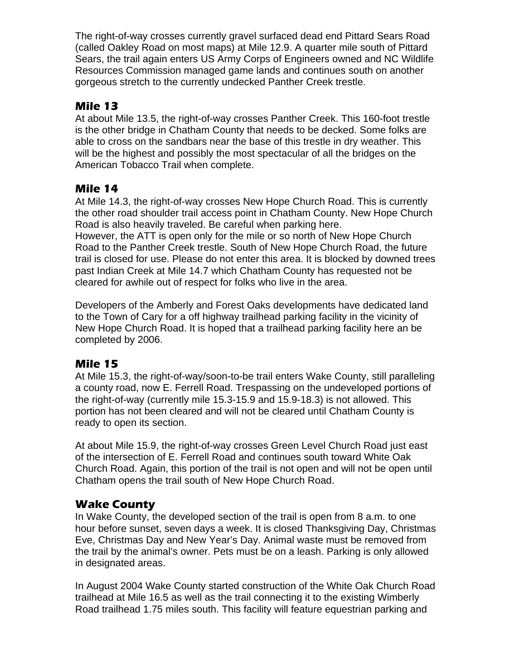The right-of-way crosses currently gravel surfaced dead end Pittard Sears Road (called Oakley Road on most maps) at Mile 12.9. A quarter mile south of Pittard Sears, the trail again enters US Army Corps of Engineers owned and NC Wildlife Resources Commission managed game lands and continues south on another gorgeous stretch to the currently undecked Panther Creek trestle.

## **Mile 13**

At about Mile 13.5, the right-of-way crosses Panther Creek. This 160-foot trestle is the other bridge in Chatham County that needs to be decked. Some folks are able to cross on the sandbars near the base of this trestle in dry weather. This will be the highest and possibly the most spectacular of all the bridges on the American Tobacco Trail when complete.

## **Mile 14**

At Mile 14.3, the right-of-way crosses New Hope Church Road. This is currently the other road shoulder trail access point in Chatham County. New Hope Church Road is also heavily traveled. Be careful when parking here.

However, the ATT is open only for the mile or so north of New Hope Church Road to the Panther Creek trestle. South of New Hope Church Road, the future trail is closed for use. Please do not enter this area. It is blocked by downed trees past Indian Creek at Mile 14.7 which Chatham County has requested not be cleared for awhile out of respect for folks who live in the area.

Developers of the Amberly and Forest Oaks developments have dedicated land to the Town of Cary for a off highway trailhead parking facility in the vicinity of New Hope Church Road. It is hoped that a trailhead parking facility here an be completed by 2006.

## **Mile 15**

At Mile 15.3, the right-of-way/soon-to-be trail enters Wake County, still paralleling a county road, now E. Ferrell Road. Trespassing on the undeveloped portions of the right-of-way (currently mile 15.3-15.9 and 15.9-18.3) is not allowed. This portion has not been cleared and will not be cleared until Chatham County is ready to open its section.

At about Mile 15.9, the right-of-way crosses Green Level Church Road just east of the intersection of E. Ferrell Road and continues south toward White Oak Church Road. Again, this portion of the trail is not open and will not be open until Chatham opens the trail south of New Hope Church Road.

## **Wake County**

In Wake County, the developed section of the trail is open from 8 a.m. to one hour before sunset, seven days a week. It is closed Thanksgiving Day, Christmas Eve, Christmas Day and New Year's Day. Animal waste must be removed from the trail by the animal's owner. Pets must be on a leash. Parking is only allowed in designated areas.

In August 2004 Wake County started construction of the White Oak Church Road trailhead at Mile 16.5 as well as the trail connecting it to the existing Wimberly Road trailhead 1.75 miles south. This facility will feature equestrian parking and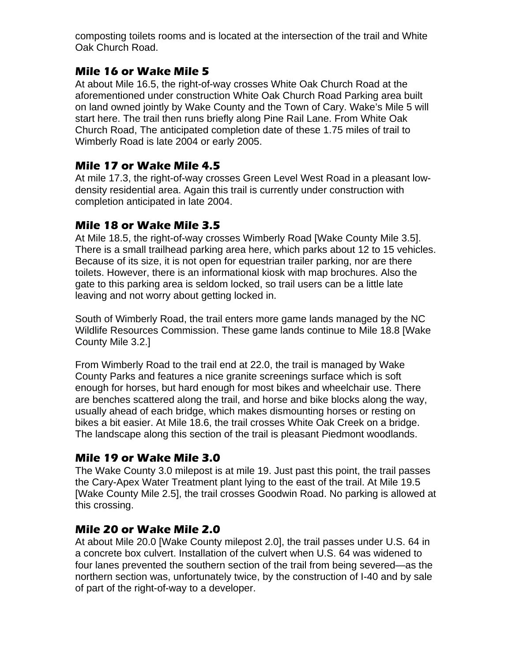composting toilets rooms and is located at the intersection of the trail and White Oak Church Road.

## **Mile 16 or Wake Mile 5**

At about Mile 16.5, the right-of-way crosses White Oak Church Road at the aforementioned under construction White Oak Church Road Parking area built on land owned jointly by Wake County and the Town of Cary. Wake's Mile 5 will start here. The trail then runs briefly along Pine Rail Lane. From White Oak Church Road, The anticipated completion date of these 1.75 miles of trail to Wimberly Road is late 2004 or early 2005.

## **Mile 17 or Wake Mile 4.5**

At mile 17.3, the right-of-way crosses Green Level West Road in a pleasant lowdensity residential area. Again this trail is currently under construction with completion anticipated in late 2004.

## **Mile 18 or Wake Mile 3.5**

At Mile 18.5, the right-of-way crosses Wimberly Road [Wake County Mile 3.5]. There is a small trailhead parking area here, which parks about 12 to 15 vehicles. Because of its size, it is not open for equestrian trailer parking, nor are there toilets. However, there is an informational kiosk with map brochures. Also the gate to this parking area is seldom locked, so trail users can be a little late leaving and not worry about getting locked in.

South of Wimberly Road, the trail enters more game lands managed by the NC Wildlife Resources Commission. These game lands continue to Mile 18.8 [Wake County Mile 3.2.]

From Wimberly Road to the trail end at 22.0, the trail is managed by Wake County Parks and features a nice granite screenings surface which is soft enough for horses, but hard enough for most bikes and wheelchair use. There are benches scattered along the trail, and horse and bike blocks along the way, usually ahead of each bridge, which makes dismounting horses or resting on bikes a bit easier. At Mile 18.6, the trail crosses White Oak Creek on a bridge. The landscape along this section of the trail is pleasant Piedmont woodlands.

## **Mile 19 or Wake Mile 3.0**

The Wake County 3.0 milepost is at mile 19. Just past this point, the trail passes the Cary-Apex Water Treatment plant lying to the east of the trail. At Mile 19.5 [Wake County Mile 2.5], the trail crosses Goodwin Road. No parking is allowed at this crossing.

## **Mile 20 or Wake Mile 2.0**

At about Mile 20.0 [Wake County milepost 2.0], the trail passes under U.S. 64 in a concrete box culvert. Installation of the culvert when U.S. 64 was widened to four lanes prevented the southern section of the trail from being severed—as the northern section was, unfortunately twice, by the construction of I-40 and by sale of part of the right-of-way to a developer.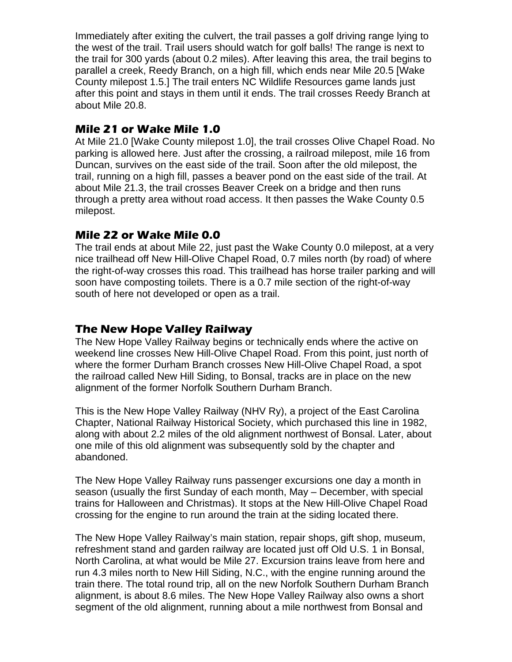Immediately after exiting the culvert, the trail passes a golf driving range lying to the west of the trail. Trail users should watch for golf balls! The range is next to the trail for 300 yards (about 0.2 miles). After leaving this area, the trail begins to parallel a creek, Reedy Branch, on a high fill, which ends near Mile 20.5 [Wake County milepost 1.5.] The trail enters NC Wildlife Resources game lands just after this point and stays in them until it ends. The trail crosses Reedy Branch at about Mile 20.8.

### **Mile 21 or Wake Mile 1.0**

At Mile 21.0 [Wake County milepost 1.0], the trail crosses Olive Chapel Road. No parking is allowed here. Just after the crossing, a railroad milepost, mile 16 from Duncan, survives on the east side of the trail. Soon after the old milepost, the trail, running on a high fill, passes a beaver pond on the east side of the trail. At about Mile 21.3, the trail crosses Beaver Creek on a bridge and then runs through a pretty area without road access. It then passes the Wake County 0.5 milepost.

## **Mile 22 or Wake Mile 0.0**

The trail ends at about Mile 22, just past the Wake County 0.0 milepost, at a very nice trailhead off New Hill-Olive Chapel Road, 0.7 miles north (by road) of where the right-of-way crosses this road. This trailhead has horse trailer parking and will soon have composting toilets. There is a 0.7 mile section of the right-of-way south of here not developed or open as a trail.

## **The New Hope Valley Railway**

The New Hope Valley Railway begins or technically ends where the active on weekend line crosses New Hill-Olive Chapel Road. From this point, just north of where the former Durham Branch crosses New Hill-Olive Chapel Road, a spot the railroad called New Hill Siding, to Bonsal, tracks are in place on the new alignment of the former Norfolk Southern Durham Branch.

This is the New Hope Valley Railway (NHV Ry), a project of the East Carolina Chapter, National Railway Historical Society, which purchased this line in 1982, along with about 2.2 miles of the old alignment northwest of Bonsal. Later, about one mile of this old alignment was subsequently sold by the chapter and abandoned.

The New Hope Valley Railway runs passenger excursions one day a month in season (usually the first Sunday of each month, May – December, with special trains for Halloween and Christmas). It stops at the New Hill-Olive Chapel Road crossing for the engine to run around the train at the siding located there.

The New Hope Valley Railway's main station, repair shops, gift shop, museum, refreshment stand and garden railway are located just off Old U.S. 1 in Bonsal, North Carolina, at what would be Mile 27. Excursion trains leave from here and run 4.3 miles north to New Hill Siding, N.C., with the engine running around the train there. The total round trip, all on the new Norfolk Southern Durham Branch alignment, is about 8.6 miles. The New Hope Valley Railway also owns a short segment of the old alignment, running about a mile northwest from Bonsal and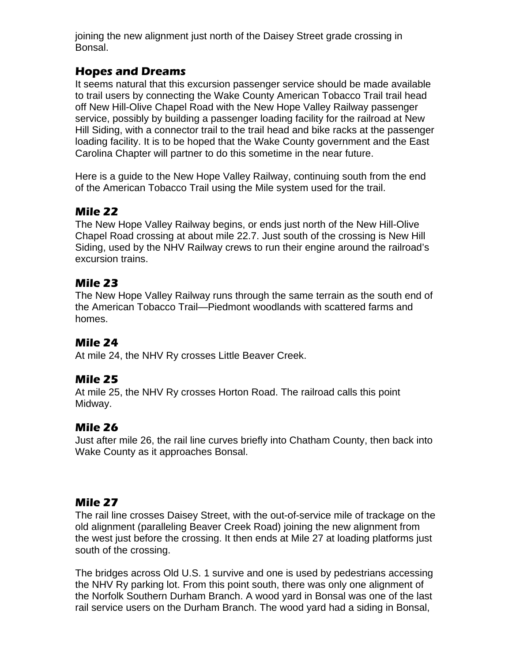joining the new alignment just north of the Daisey Street grade crossing in Bonsal.

## **Hopes and Dreams**

It seems natural that this excursion passenger service should be made available to trail users by connecting the Wake County American Tobacco Trail trail head off New Hill-Olive Chapel Road with the New Hope Valley Railway passenger service, possibly by building a passenger loading facility for the railroad at New Hill Siding, with a connector trail to the trail head and bike racks at the passenger loading facility. It is to be hoped that the Wake County government and the East Carolina Chapter will partner to do this sometime in the near future.

Here is a guide to the New Hope Valley Railway, continuing south from the end of the American Tobacco Trail using the Mile system used for the trail.

## **Mile 22**

The New Hope Valley Railway begins, or ends just north of the New Hill-Olive Chapel Road crossing at about mile 22.7. Just south of the crossing is New Hill Siding, used by the NHV Railway crews to run their engine around the railroad's excursion trains.

## **Mile 23**

The New Hope Valley Railway runs through the same terrain as the south end of the American Tobacco Trail—Piedmont woodlands with scattered farms and homes.

## **Mile 24**

At mile 24, the NHV Ry crosses Little Beaver Creek.

## **Mile 25**

At mile 25, the NHV Ry crosses Horton Road. The railroad calls this point Midway.

## **Mile 26**

Just after mile 26, the rail line curves briefly into Chatham County, then back into Wake County as it approaches Bonsal.

## **Mile 27**

The rail line crosses Daisey Street, with the out-of-service mile of trackage on the old alignment (paralleling Beaver Creek Road) joining the new alignment from the west just before the crossing. It then ends at Mile 27 at loading platforms just south of the crossing.

The bridges across Old U.S. 1 survive and one is used by pedestrians accessing the NHV Ry parking lot. From this point south, there was only one alignment of the Norfolk Southern Durham Branch. A wood yard in Bonsal was one of the last rail service users on the Durham Branch. The wood yard had a siding in Bonsal,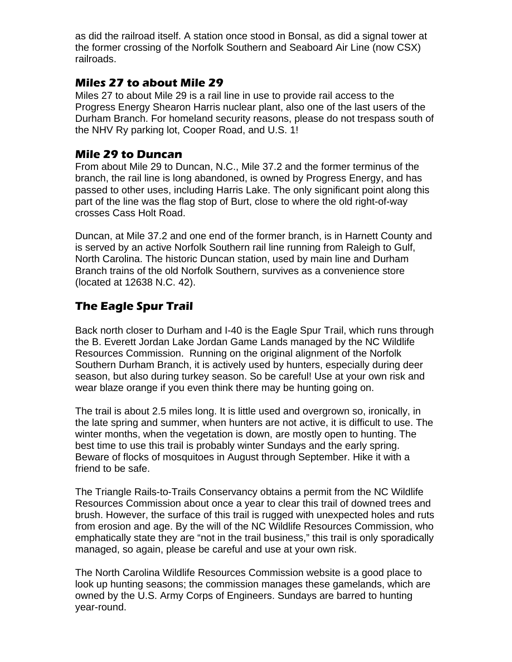as did the railroad itself. A station once stood in Bonsal, as did a signal tower at the former crossing of the Norfolk Southern and Seaboard Air Line (now CSX) railroads.

### **Miles 27 to about Mile 29**

Miles 27 to about Mile 29 is a rail line in use to provide rail access to the Progress Energy Shearon Harris nuclear plant, also one of the last users of the Durham Branch. For homeland security reasons, please do not trespass south of the NHV Ry parking lot, Cooper Road, and U.S. 1!

#### **Mile 29 to Duncan**

From about Mile 29 to Duncan, N.C., Mile 37.2 and the former terminus of the branch, the rail line is long abandoned, is owned by Progress Energy, and has passed to other uses, including Harris Lake. The only significant point along this part of the line was the flag stop of Burt, close to where the old right-of-way crosses Cass Holt Road.

Duncan, at Mile 37.2 and one end of the former branch, is in Harnett County and is served by an active Norfolk Southern rail line running from Raleigh to Gulf, North Carolina. The historic Duncan station, used by main line and Durham Branch trains of the old Norfolk Southern, survives as a convenience store (located at 12638 N.C. 42).

## **The Eagle Spur Trail**

Back north closer to Durham and I-40 is the Eagle Spur Trail, which runs through the B. Everett Jordan Lake Jordan Game Lands managed by the NC Wildlife Resources Commission. Running on the original alignment of the Norfolk Southern Durham Branch, it is actively used by hunters, especially during deer season, but also during turkey season. So be careful! Use at your own risk and wear blaze orange if you even think there may be hunting going on.

The trail is about 2.5 miles long. It is little used and overgrown so, ironically, in the late spring and summer, when hunters are not active, it is difficult to use. The winter months, when the vegetation is down, are mostly open to hunting. The best time to use this trail is probably winter Sundays and the early spring. Beware of flocks of mosquitoes in August through September. Hike it with a friend to be safe.

The Triangle Rails-to-Trails Conservancy obtains a permit from the NC Wildlife Resources Commission about once a year to clear this trail of downed trees and brush. However, the surface of this trail is rugged with unexpected holes and ruts from erosion and age. By the will of the NC Wildlife Resources Commission, who emphatically state they are "not in the trail business," this trail is only sporadically managed, so again, please be careful and use at your own risk.

The North Carolina Wildlife Resources Commission website is a good place to look up hunting seasons; the commission manages these gamelands, which are owned by the U.S. Army Corps of Engineers. Sundays are barred to hunting year-round.